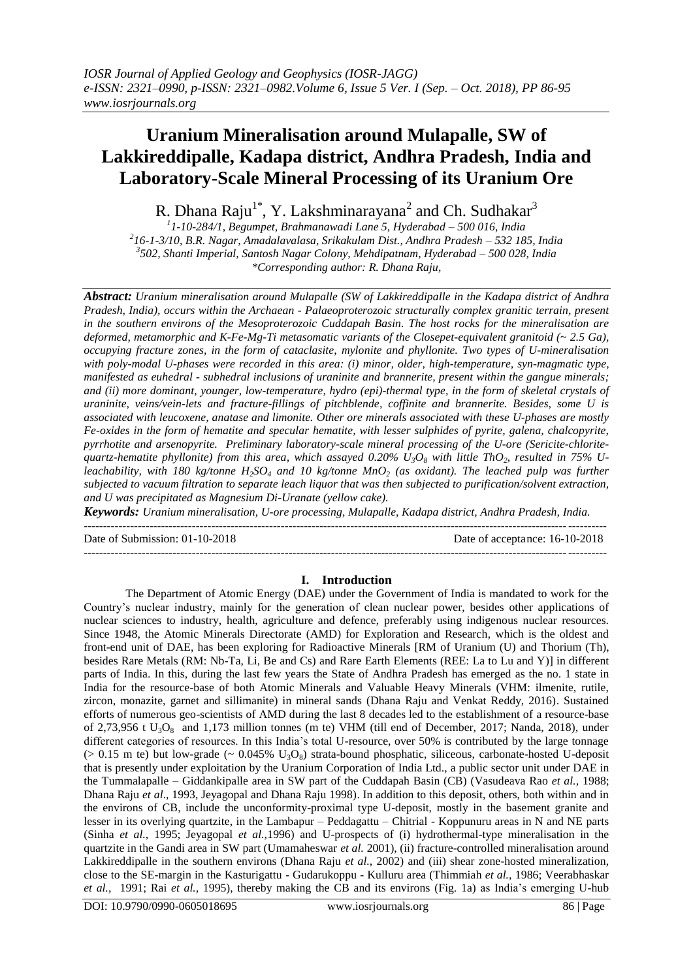# **Uranium Mineralisation around Mulapalle, SW of Lakkireddipalle, Kadapa district, Andhra Pradesh, India and Laboratory-Scale Mineral Processing of its Uranium Ore**

R. Dhana Raju<sup>1\*</sup>, Y. Lakshminarayana<sup>2</sup> and Ch. Sudhakar<sup>3</sup>

 *1-10-284/1, Begumpet, Brahmanawadi Lane 5, Hyderabad – 500 016, India 16-1-3/10, B.R. Nagar, Amadalavalasa, Srikakulam Dist., Andhra Pradesh – 532 185, India 502, Shanti Imperial, Santosh Nagar Colony, Mehdipatnam, Hyderabad – 500 028, India \*Corresponding author: R. Dhana Raju,*

*Abstract: Uranium mineralisation around Mulapalle (SW of Lakkireddipalle in the Kadapa district of Andhra Pradesh, India), occurs within the Archaean - Palaeoproterozoic structurally complex granitic terrain, present in the southern environs of the Mesoproterozoic Cuddapah Basin. The host rocks for the mineralisation are deformed, metamorphic and K-Fe-Mg-Ti metasomatic variants of the Closepet-equivalent granitoid (~ 2.5 Ga), occupying fracture zones, in the form of cataclasite, mylonite and phyllonite. Two types of U-mineralisation with poly-modal U-phases were recorded in this area: (i) minor, older, high-temperature, syn-magmatic type, manifested as euhedral - subhedral inclusions of uraninite and brannerite, present within the gangue minerals; and (ii) more dominant, younger, low-temperature, hydro (epi)-thermal type, in the form of skeletal crystals of uraninite, veins/vein-lets and fracture-fillings of pitchblende, coffinite and brannerite. Besides, some U is associated with leucoxene, anatase and limonite. Other ore minerals associated with these U-phases are mostly Fe-oxides in the form of hematite and specular hematite, with lesser sulphides of pyrite, galena, chalcopyrite, pyrrhotite and arsenopyrite. Preliminary laboratory-scale mineral processing of the U-ore (Sericite-chloritequartz-hematite phyllonite) from this area, which assayed 0.20% U3O<sup>8</sup> with little ThO2, resulted in 75% Uleachability, with 180 kg/tonne H2SO<sup>4</sup> and 10 kg/tonne MnO<sup>2</sup> (as oxidant). The leached pulp was further subjected to vacuum filtration to separate leach liquor that was then subjected to purification/solvent extraction, and U was precipitated as Magnesium Di-Uranate (yellow cake).*

*Keywords: Uranium mineralisation, U-ore processing, Mulapalle, Kadapa district, Andhra Pradesh, India.* ---------------------------------------------------------------------------------------------------------------------------------------

Date of Submission: 01-10-2018 Date of acceptance: 16-10-2018

#### **I. Introduction**

--------------------------------------------------------------------------------------------------------------------------------------*-*

The Department of Atomic Energy (DAE) under the Government of India is mandated to work for the Country"s nuclear industry, mainly for the generation of clean nuclear power, besides other applications of nuclear sciences to industry, health, agriculture and defence, preferably using indigenous nuclear resources. Since 1948, the Atomic Minerals Directorate (AMD) for Exploration and Research, which is the oldest and front-end unit of DAE, has been exploring for Radioactive Minerals [RM of Uranium (U) and Thorium (Th), besides Rare Metals (RM: Nb-Ta, Li, Be and Cs) and Rare Earth Elements (REE: La to Lu and Y)] in different parts of India. In this, during the last few years the State of Andhra Pradesh has emerged as the no. 1 state in India for the resource-base of both Atomic Minerals and Valuable Heavy Minerals (VHM: ilmenite, rutile, zircon, monazite, garnet and sillimanite) in mineral sands (Dhana Raju and Venkat Reddy, 2016). Sustained efforts of numerous geo-scientists of AMD during the last 8 decades led to the establishment of a resource-base of 2,73,956 t  $U_3O_8$  and 1,173 million tonnes (m te) VHM (till end of December, 2017; Nanda, 2018), under different categories of resources. In this India's total U-resource, over 50% is contributed by the large tonnage ( $> 0.15$  m te) but low-grade ( $\sim 0.045\%$  U<sub>3</sub>O<sub>8</sub>) strata-bound phosphatic, siliceous, carbonate-hosted U-deposit that is presently under exploitation by the Uranium Corporation of India Ltd., a public sector unit under DAE in the Tummalapalle – Giddankipalle area in SW part of the Cuddapah Basin (CB) (Vasudeava Rao *et al.,* 1988; Dhana Raju *et al*., 1993, Jeyagopal and Dhana Raju 1998). In addition to this deposit, others, both within and in the environs of CB, include the unconformity-proximal type U-deposit, mostly in the basement granite and lesser in its overlying quartzite, in the Lambapur – Peddagattu – Chitrial - Koppunuru areas in N and NE parts (Sinha *et al.,* 1995; Jeyagopal *et al.,*1996) and U-prospects of (i) hydrothermal-type mineralisation in the quartzite in the Gandi area in SW part (Umamaheswar *et al.* 2001), (ii) fracture-controlled mineralisation around Lakkireddipalle in the southern environs (Dhana Raju *et al.,* 2002) and (iii) shear zone-hosted mineralization, close to the SE-margin in the Kasturigattu - Gudarukoppu - Kulluru area (Thimmiah *et al.,* 1986; Veerabhaskar *et al.,* 1991; Rai *et al.,* 1995), thereby making the CB and its environs (Fig. 1a) as India"s emerging U-hub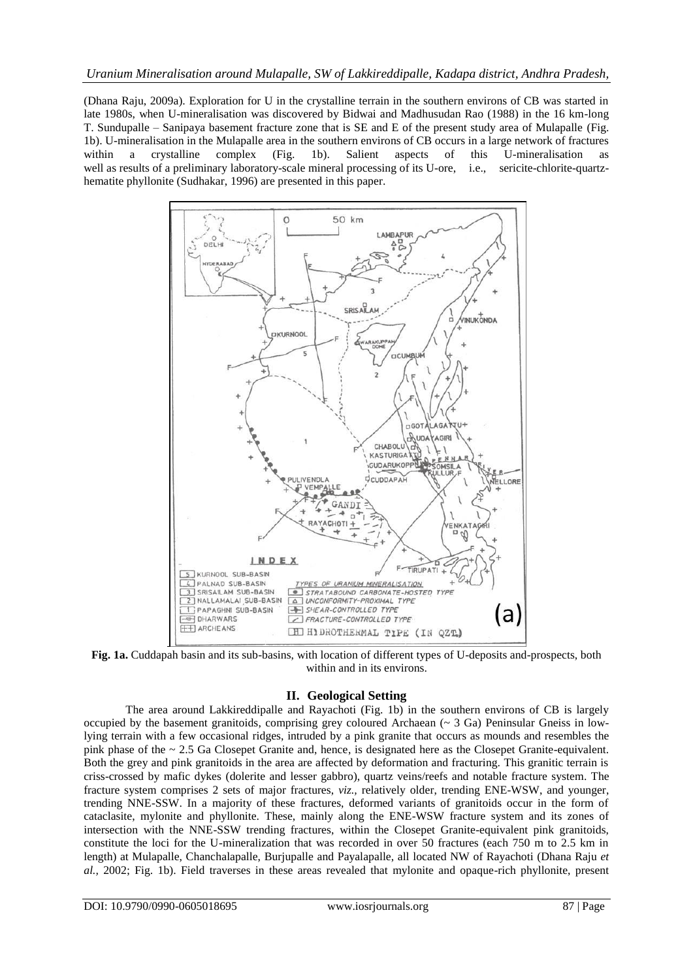(Dhana Raju, 2009a). Exploration for U in the crystalline terrain in the southern environs of CB was started in late 1980s, when U-mineralisation was discovered by Bidwai and Madhusudan Rao (1988) in the 16 km-long T. Sundupalle – Sanipaya basement fracture zone that is SE and E of the present study area of Mulapalle (Fig. 1b). U-mineralisation in the Mulapalle area in the southern environs of CB occurs in a large network of fractures within a crystalline complex (Fig. 1b). Salient aspects of this U-mineralisation as well as results of a preliminary laboratory-scale mineral processing of its U-ore, i.e., sericite-chlorite-quartzhematite phyllonite (Sudhakar, 1996) are presented in this paper.



**Fig. 1a.** Cuddapah basin and its sub-basins, with location of different types of U-deposits and-prospects, both within and in its environs.

## **II. Geological Setting**

The area around Lakkireddipalle and Rayachoti (Fig. 1b) in the southern environs of CB is largely occupied by the basement granitoids, comprising grey coloured Archaean (~ 3 Ga) Peninsular Gneiss in lowlying terrain with a few occasional ridges, intruded by a pink granite that occurs as mounds and resembles the pink phase of the ~ 2.5 Ga Closepet Granite and, hence, is designated here as the Closepet Granite-equivalent. Both the grey and pink granitoids in the area are affected by deformation and fracturing. This granitic terrain is criss-crossed by mafic dykes (dolerite and lesser gabbro), quartz veins/reefs and notable fracture system. The fracture system comprises 2 sets of major fractures, *viz.,* relatively older, trending ENE-WSW, and younger, trending NNE-SSW. In a majority of these fractures, deformed variants of granitoids occur in the form of cataclasite, mylonite and phyllonite. These, mainly along the ENE-WSW fracture system and its zones of intersection with the NNE-SSW trending fractures, within the Closepet Granite-equivalent pink granitoids, constitute the loci for the U-mineralization that was recorded in over 50 fractures (each 750 m to 2.5 km in length) at Mulapalle, Chanchalapalle, Burjupalle and Payalapalle, all located NW of Rayachoti (Dhana Raju *et al.,* 2002; Fig. 1b). Field traverses in these areas revealed that mylonite and opaque-rich phyllonite, present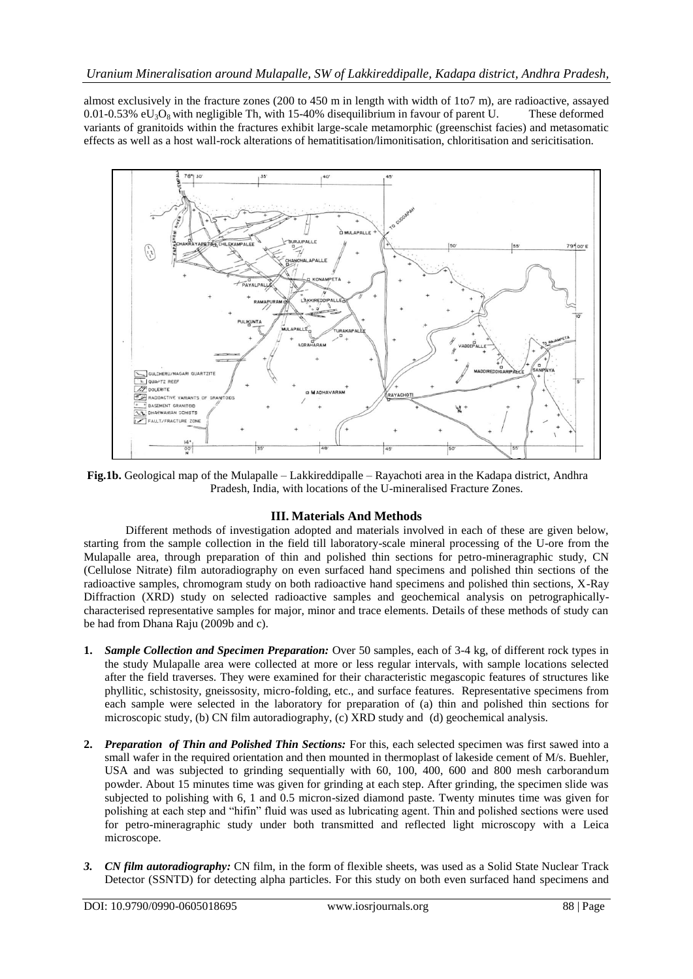almost exclusively in the fracture zones (200 to 450 m in length with width of 1to7 m), are radioactive, assayed  $0.01$ -0.53% eU<sub>3</sub>O<sub>8</sub> with negligible Th, with 15-40% disequilibrium in favour of parent U. These deformed variants of granitoids within the fractures exhibit large-scale metamorphic (greenschist facies) and metasomatic effects as well as a host wall-rock alterations of hematitisation/limonitisation, chloritisation and sericitisation.



**Fig.1b.** Geological map of the Mulapalle – Lakkireddipalle – Rayachoti area in the Kadapa district, Andhra Pradesh, India, with locations of the U-mineralised Fracture Zones.

#### **III. Materials And Methods**

Different methods of investigation adopted and materials involved in each of these are given below, starting from the sample collection in the field till laboratory-scale mineral processing of the U-ore from the Mulapalle area, through preparation of thin and polished thin sections for petro-mineragraphic study, CN (Cellulose Nitrate) film autoradiography on even surfaced hand specimens and polished thin sections of the radioactive samples, chromogram study on both radioactive hand specimens and polished thin sections, X-Ray Diffraction (XRD) study on selected radioactive samples and geochemical analysis on petrographicallycharacterised representative samples for major, minor and trace elements. Details of these methods of study can be had from Dhana Raju (2009b and c).

- **1.** *Sample Collection and Specimen Preparation:* Over 50 samples, each of 3-4 kg, of different rock types in the study Mulapalle area were collected at more or less regular intervals, with sample locations selected after the field traverses. They were examined for their characteristic megascopic features of structures like phyllitic, schistosity, gneissosity, micro-folding, etc., and surface features. Representative specimens from each sample were selected in the laboratory for preparation of (a) thin and polished thin sections for microscopic study, (b) CN film autoradiography, (c) XRD study and (d) geochemical analysis.
- **2.** *Preparation of Thin and Polished Thin Sections:* For this, each selected specimen was first sawed into a small wafer in the required orientation and then mounted in thermoplast of lakeside cement of M/s. Buehler, USA and was subjected to grinding sequentially with 60, 100, 400, 600 and 800 mesh carborandum powder. About 15 minutes time was given for grinding at each step. After grinding, the specimen slide was subjected to polishing with 6, 1 and 0.5 micron-sized diamond paste. Twenty minutes time was given for polishing at each step and "hifin" fluid was used as lubricating agent. Thin and polished sections were used for petro-mineragraphic study under both transmitted and reflected light microscopy with a Leica microscope.
- *3. CN film autoradiography:* CN film, in the form of flexible sheets, was used as a Solid State Nuclear Track Detector (SSNTD) for detecting alpha particles. For this study on both even surfaced hand specimens and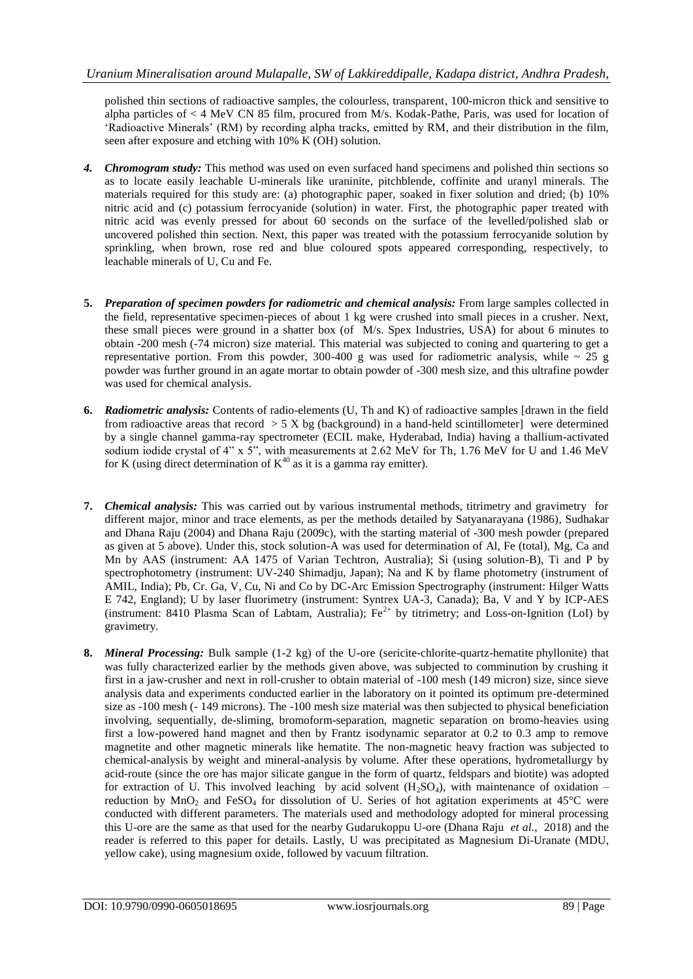polished thin sections of radioactive samples, the colourless, transparent, 100-micron thick and sensitive to alpha particles of < 4 MeV CN 85 film, procured from M/s. Kodak-Pathe, Paris, was used for location of "Radioactive Minerals" (RM) by recording alpha tracks, emitted by RM, and their distribution in the film, seen after exposure and etching with 10% K (OH) solution.

- *4. Chromogram study:* This method was used on even surfaced hand specimens and polished thin sections so as to locate easily leachable U-minerals like uraninite, pitchblende, coffinite and uranyl minerals. The materials required for this study are: (a) photographic paper, soaked in fixer solution and dried; (b) 10% nitric acid and (c) potassium ferrocyanide (solution) in water. First, the photographic paper treated with nitric acid was evenly pressed for about 60 seconds on the surface of the levelled/polished slab or uncovered polished thin section. Next, this paper was treated with the potassium ferrocyanide solution by sprinkling, when brown, rose red and blue coloured spots appeared corresponding, respectively, to leachable minerals of U, Cu and Fe.
- **5.** *Preparation of specimen powders for radiometric and chemical analysis:* From large samples collected in the field, representative specimen-pieces of about 1 kg were crushed into small pieces in a crusher. Next, these small pieces were ground in a shatter box (of M/s. Spex Industries, USA) for about 6 minutes to obtain -200 mesh (-74 micron) size material. This material was subjected to coning and quartering to get a representative portion. From this powder, 300-400 g was used for radiometric analysis, while  $\sim$  25 g powder was further ground in an agate mortar to obtain powder of -300 mesh size, and this ultrafine powder was used for chemical analysis.
- **6.** *Radiometric analysis:* Contents of radio-elements (U, Th and K) of radioactive samples [drawn in the field from radioactive areas that record  $> 5$  X bg (background) in a hand-held scintillometer] were determined by a single channel gamma-ray spectrometer (ECIL make, Hyderabad, India) having a thallium-activated sodium iodide crystal of 4" x 5", with measurements at 2.62 MeV for Th, 1.76 MeV for U and 1.46 MeV for K (using direct determination of  $K^{40}$  as it is a gamma ray emitter).
- **7.** *Chemical analysis:* This was carried out by various instrumental methods, titrimetry and gravimetry for different major, minor and trace elements, as per the methods detailed by Satyanarayana (1986), Sudhakar and Dhana Raju (2004) and Dhana Raju (2009c), with the starting material of -300 mesh powder (prepared as given at 5 above). Under this, stock solution-A was used for determination of Al, Fe (total), Mg, Ca and Mn by AAS (instrument: AA 1475 of Varian Techtron, Australia); Si (using solution-B), Ti and P by spectrophotometry (instrument: UV-240 Shimadju, Japan); Na and K by flame photometry (instrument of AMIL, India); Pb, Cr. Ga, V, Cu, Ni and Co by DC-Arc Emission Spectrography (instrument: Hilger Watts E 742, England); U by laser fluorimetry (instrument: Syntrex UA-3, Canada); Ba, V and Y by ICP-AES (instrument: 8410 Plasma Scan of Labtam, Australia);  $Fe^{2+}$  by titrimetry; and Loss-on-Ignition (LoI) by gravimetry.
- **8.** *Mineral Processing:* Bulk sample (1-2 kg) of the U-ore (sericite-chlorite-quartz-hematite phyllonite) that was fully characterized earlier by the methods given above, was subjected to comminution by crushing it first in a jaw-crusher and next in roll-crusher to obtain material of -100 mesh (149 micron) size, since sieve analysis data and experiments conducted earlier in the laboratory on it pointed its optimum pre-determined size as -100 mesh (- 149 microns). The -100 mesh size material was then subjected to physical beneficiation involving, sequentially, de-sliming, bromoform-separation, magnetic separation on bromo-heavies using first a low-powered hand magnet and then by Frantz isodynamic separator at 0.2 to 0.3 amp to remove magnetite and other magnetic minerals like hematite. The non-magnetic heavy fraction was subjected to chemical-analysis by weight and mineral-analysis by volume. After these operations, hydrometallurgy by acid-route (since the ore has major silicate gangue in the form of quartz, feldspars and biotite) was adopted for extraction of U. This involved leaching by acid solvent  $(H_2SO_4)$ , with maintenance of oxidation – reduction by MnO<sub>2</sub> and FeSO<sub>4</sub> for dissolution of U. Series of hot agitation experiments at  $45^{\circ}$ C were conducted with different parameters. The materials used and methodology adopted for mineral processing this U-ore are the same as that used for the nearby Gudarukoppu U-ore (Dhana Raju *et al.,* 2018) and the reader is referred to this paper for details. Lastly, U was precipitated as Magnesium Di-Uranate (MDU, yellow cake), using magnesium oxide, followed by vacuum filtration.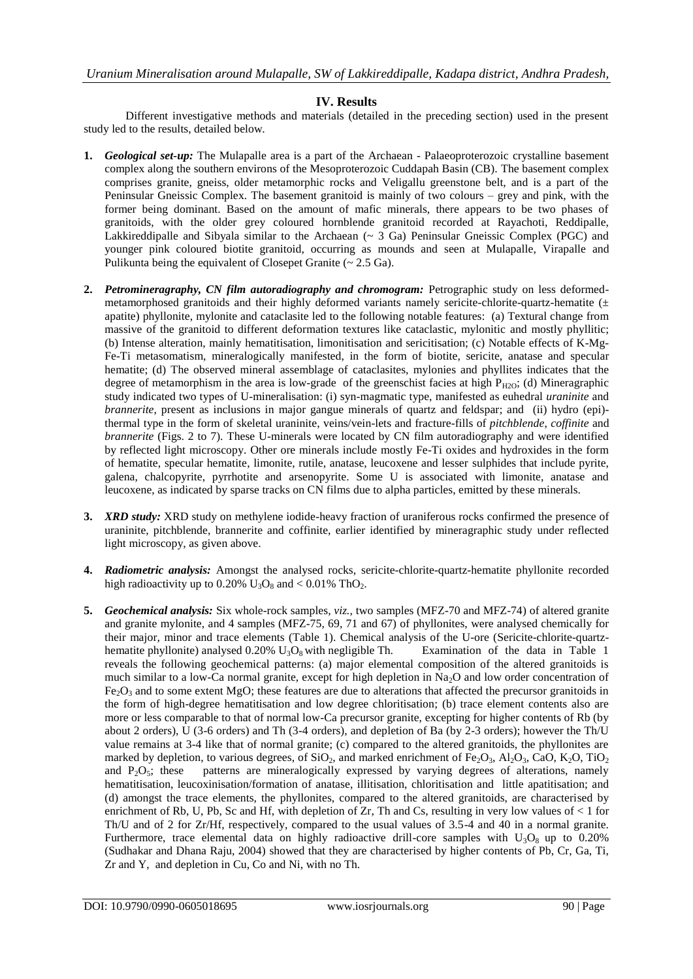### **IV. Results**

Different investigative methods and materials (detailed in the preceding section) used in the present study led to the results, detailed below.

- **1.** *Geological set-up:* The Mulapalle area is a part of the Archaean Palaeoproterozoic crystalline basement complex along the southern environs of the Mesoproterozoic Cuddapah Basin (CB). The basement complex comprises granite, gneiss, older metamorphic rocks and Veligallu greenstone belt, and is a part of the Peninsular Gneissic Complex. The basement granitoid is mainly of two colours – grey and pink, with the former being dominant. Based on the amount of mafic minerals, there appears to be two phases of granitoids, with the older grey coloured hornblende granitoid recorded at Rayachoti, Reddipalle, Lakkireddipalle and Sibyala similar to the Archaean (~ 3 Ga) Peninsular Gneissic Complex (PGC) and younger pink coloured biotite granitoid, occurring as mounds and seen at Mulapalle, Virapalle and Pulikunta being the equivalent of Closepet Granite  $\sim 2.5$  Ga).
- **2.** *Petromineragraphy, CN film autoradiography and chromogram:* Petrographic study on less deformedmetamorphosed granitoids and their highly deformed variants namely sericite-chlorite-quartz-hematite  $(±$ apatite) phyllonite, mylonite and cataclasite led to the following notable features: (a) Textural change from massive of the granitoid to different deformation textures like cataclastic, mylonitic and mostly phyllitic; (b) Intense alteration, mainly hematitisation, limonitisation and sericitisation; (c) Notable effects of K-Mg-Fe-Ti metasomatism, mineralogically manifested, in the form of biotite, sericite, anatase and specular hematite; (d) The observed mineral assemblage of cataclasites, mylonies and phyllites indicates that the degree of metamorphism in the area is low-grade of the greenschist facies at high  $P_{H2O}$ ; (d) Mineragraphic study indicated two types of U-mineralisation: (i) syn-magmatic type, manifested as euhedral *uraninite* and *brannerite*, present as inclusions in major gangue minerals of quartz and feldspar; and (ii) hydro (epi)thermal type in the form of skeletal uraninite, veins/vein-lets and fracture-fills of *pitchblende*, *coffinite* and *brannerite* (Figs. 2 to 7). These U-minerals were located by CN film autoradiography and were identified by reflected light microscopy. Other ore minerals include mostly Fe-Ti oxides and hydroxides in the form of hematite, specular hematite, limonite, rutile, anatase, leucoxene and lesser sulphides that include pyrite, galena, chalcopyrite, pyrrhotite and arsenopyrite. Some U is associated with limonite, anatase and leucoxene, as indicated by sparse tracks on CN films due to alpha particles, emitted by these minerals.
- **3.** *XRD study:* XRD study on methylene iodide-heavy fraction of uraniferous rocks confirmed the presence of uraninite, pitchblende, brannerite and coffinite, earlier identified by mineragraphic study under reflected light microscopy, as given above.
- **4.** *Radiometric analysis:* Amongst the analysed rocks, sericite-chlorite-quartz-hematite phyllonite recorded high radioactivity up to 0.20%  $U_3O_8$  and < 0.01% ThO<sub>2</sub>.
- **5.** *Geochemical analysis:* Six whole-rock samples, *viz.,* two samples (MFZ-70 and MFZ-74) of altered granite and granite mylonite, and 4 samples (MFZ-75, 69, 71 and 67) of phyllonites, were analysed chemically for their major, minor and trace elements (Table 1). Chemical analysis of the U-ore (Sericite-chlorite-quartzhematite phyllonite) analysed  $0.20\%$  U<sub>3</sub>O<sub>8</sub> with negligible Th. Examination of the data in Table 1 reveals the following geochemical patterns: (a) major elemental composition of the altered granitoids is much similar to a low-Ca normal granite, except for high depletion in  $Na<sub>2</sub>O$  and low order concentration of  $Fe<sub>2</sub>O<sub>3</sub>$  and to some extent MgO; these features are due to alterations that affected the precursor granitoids in the form of high-degree hematitisation and low degree chloritisation; (b) trace element contents also are more or less comparable to that of normal low-Ca precursor granite, excepting for higher contents of Rb (by about 2 orders), U (3-6 orders) and Th (3-4 orders), and depletion of Ba (by 2-3 orders); however the Th/U value remains at 3-4 like that of normal granite; (c) compared to the altered granitoids, the phyllonites are marked by depletion, to various degrees, of  $SiO_2$ , and marked enrichment of Fe<sub>2</sub>O<sub>3</sub>, Al<sub>2</sub>O<sub>3</sub>, CaO, K<sub>2</sub>O, TiO<sub>2</sub> and P<sub>2</sub>O<sub>5</sub>: these patterns are mineralogically expressed by varying degrees of alterations, namely patterns are mineralogically expressed by varying degrees of alterations, namely hematitisation, leucoxinisation/formation of anatase, illitisation, chloritisation and little apatitisation; and (d) amongst the trace elements, the phyllonites, compared to the altered granitoids, are characterised by enrichment of Rb, U, Pb, Sc and Hf, with depletion of  $Zr$ , Th and Cs, resulting in very low values of  $\lt 1$  for Th/U and of 2 for Zr/Hf, respectively, compared to the usual values of 3.5-4 and 40 in a normal granite. Furthermore, trace elemental data on highly radioactive drill-core samples with  $U_3O_8$  up to 0.20% (Sudhakar and Dhana Raju, 2004) showed that they are characterised by higher contents of Pb, Cr, Ga, Ti, Zr and Y, and depletion in Cu, Co and Ni, with no Th.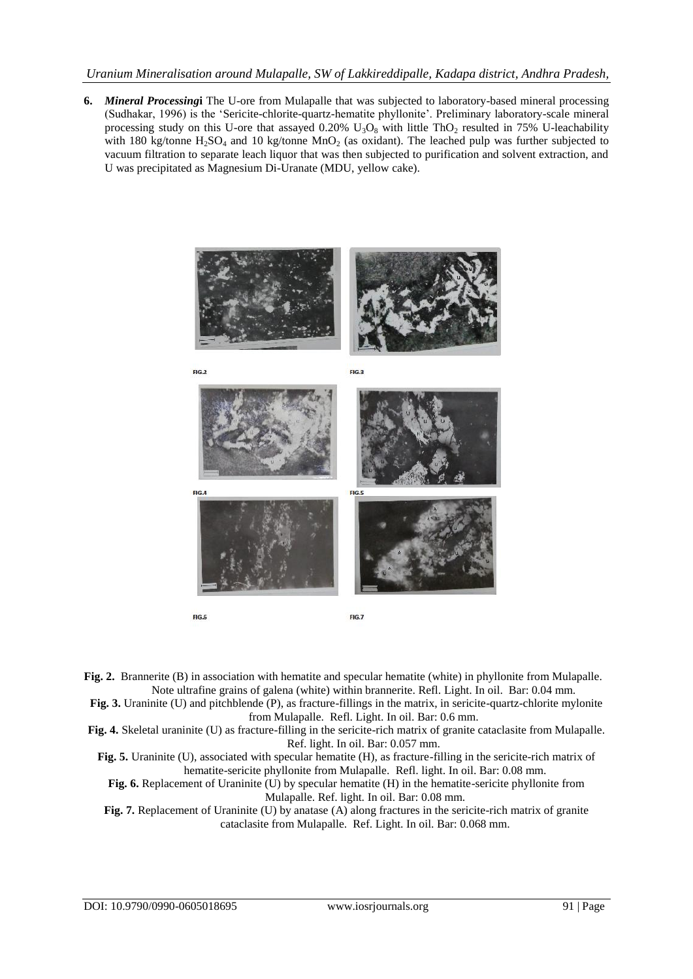### *Uranium Mineralisation around Mulapalle, SW of Lakkireddipalle, Kadapa district, Andhra Pradesh,*

**6.** *Mineral Processing***i** The U-ore from Mulapalle that was subjected to laboratory-based mineral processing (Sudhakar, 1996) is the "Sericite-chlorite-quartz-hematite phyllonite". Preliminary laboratory-scale mineral processing study on this U-ore that assayed 0.20%  $U_3O_8$  with little ThO<sub>2</sub> resulted in 75% U-leachability with 180 kg/tonne  $H_2SO_4$  and 10 kg/tonne  $MnO_2$  (as oxidant). The leached pulp was further subjected to vacuum filtration to separate leach liquor that was then subjected to purification and solvent extraction, and U was precipitated as Magnesium Di-Uranate (MDU, yellow cake).



**Fig. 2.** Brannerite (B) in association with hematite and specular hematite (white) in phyllonite from Mulapalle. Note ultrafine grains of galena (white) within brannerite. Refl. Light. In oil. Bar: 0.04 mm.

**Fig. 3.** Uraninite (U) and pitchblende (P), as fracture-fillings in the matrix, in sericite-quartz-chlorite mylonite from Mulapalle. Refl. Light. In oil. Bar: 0.6 mm.

**Fig. 4.** Skeletal uraninite (U) as fracture-filling in the sericite-rich matrix of granite cataclasite from Mulapalle. Ref. light. In oil. Bar: 0.057 mm.

**Fig. 5.** Uraninite (U), associated with specular hematite (H), as fracture-filling in the sericite-rich matrix of hematite-sericite phyllonite from Mulapalle. Refl. light. In oil. Bar: 0.08 mm.

Fig. 6. Replacement of Uraninite (U) by specular hematite (H) in the hematite-sericite phyllonite from Mulapalle. Ref. light. In oil. Bar: 0.08 mm.

**Fig. 7.** Replacement of Uraninite (U) by anatase (A) along fractures in the sericite-rich matrix of granite cataclasite from Mulapalle. Ref. Light. In oil. Bar: 0.068 mm.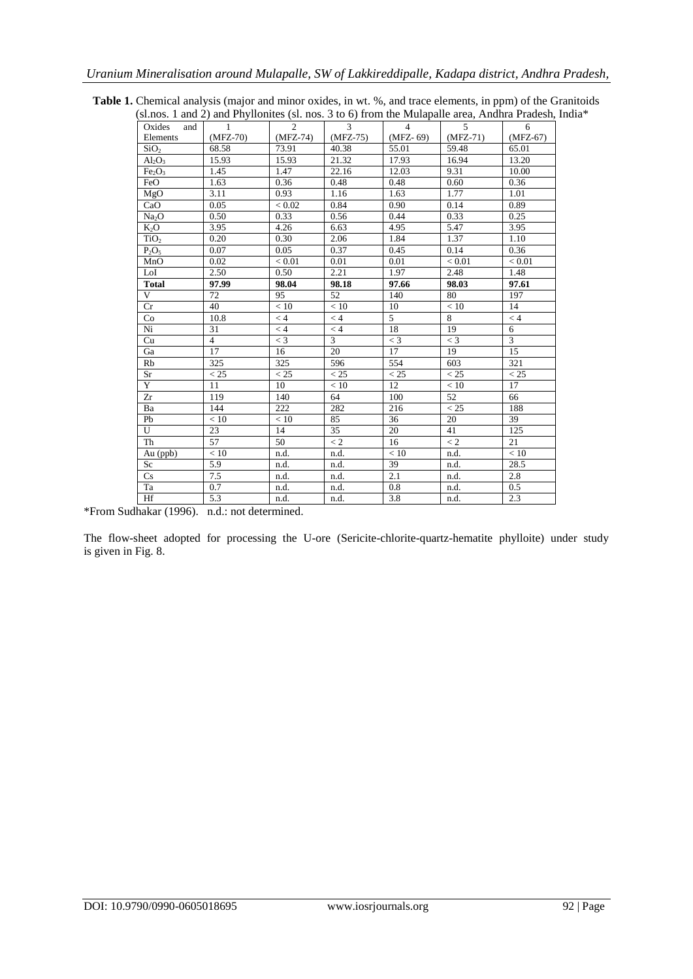|                                |                | si.nos. I and $\Delta$ ) and Phynomies (si. nos. 5 to 6) from the Mulapane area, Andrira Pradesh, |            |            |            |            |
|--------------------------------|----------------|---------------------------------------------------------------------------------------------------|------------|------------|------------|------------|
| Oxides<br>and                  | 1              | $\mathfrak{D}$                                                                                    | 3          | 4          | 5          | 6          |
| Elements                       | $(MFZ-70)$     | $(MFZ-74)$                                                                                        | $(MFZ-75)$ | $(MFZ-69)$ | $(MFZ-71)$ | $(MFZ-67)$ |
| SiO <sub>2</sub>               | 68.58          | 73.91                                                                                             | 40.38      | 55.01      | 59.48      | 65.01      |
| $Al_2O_3$                      | 15.93          | 15.93                                                                                             | 21.32      | 17.93      | 16.94      | 13.20      |
| Fe <sub>2</sub> O <sub>3</sub> | 1.45           | 1.47                                                                                              | 22.16      | 12.03      | 9.31       | 10.00      |
| FeO                            | 1.63           | 0.36                                                                                              | 0.48       | 0.48       | 0.60       | 0.36       |
| MgO                            | 3.11           | 0.93                                                                                              | 1.16       | 1.63       | 1.77       | 1.01       |
| CaO                            | 0.05           | < 0.02                                                                                            | 0.84       | 0.90       | 0.14       | 0.89       |
| Na <sub>2</sub> O              | 0.50           | 0.33                                                                                              | 0.56       | 0.44       | 0.33       | 0.25       |
| $K_2O$                         | 3.95           | 4.26                                                                                              | 6.63       | 4.95       | 5.47       | 3.95       |
| TiO <sub>2</sub>               | 0.20           | 0.30                                                                                              | 2.06       | 1.84       | 1.37       | 1.10       |
| $P_2O_5$                       | 0.07           | 0.05                                                                                              | 0.37       | 0.45       | 0.14       | 0.36       |
| MnO                            | 0.02           | < 0.01                                                                                            | 0.01       | 0.01       | < 0.01     | < 0.01     |
| LoI                            | 2.50           | 0.50                                                                                              | 2.21       | 1.97       | 2.48       | 1.48       |
| <b>Total</b>                   | 97.99          | 98.04                                                                                             | 98.18      | 97.66      | 98.03      | 97.61      |
| V                              | 72             | 95                                                                                                | 52         | 140        | 80         | 197        |
| Cr                             | 40             | < 10                                                                                              | < 10       | 10         | < 10       | 14         |
| Co                             | 10.8           | $<$ 4                                                                                             | $\lt 4$    | 5          | 8          | < 4        |
| Ni                             | 31             | < 4                                                                                               | < 4        | 18         | 19         | 6          |
| Cu                             | $\overline{4}$ | $<$ 3                                                                                             | 3          | $<$ 3      | $<$ 3      | 3          |
| Ga                             | 17             | 16                                                                                                | 20         | 17         | 19         | 15         |
| Rb                             | 325            | 325                                                                                               | 596        | 554        | 603        | 321        |
| Sr                             | < 25           | < 25                                                                                              | < 25       | < 25       | < 25       | < 25       |
| Y                              | 11             | 10                                                                                                | < 10       | 12         | < 10       | 17         |
| Zr                             | 119            | 140                                                                                               | 64         | 100        | 52         | 66         |
| Ba                             | 144            | 222                                                                                               | 282        | 216        | < 25       | 188        |
| Pb                             | < 10           | < 10                                                                                              | 85         | 36         | 20         | 39         |
| U                              | 23             | 14                                                                                                | 35         | 20         | 41         | 125        |
| Th                             | 57             | 50                                                                                                | $\lt 2$    | 16         | $\lt 2$    | 21         |
| Au (ppb)                       | < 10           | n.d.                                                                                              | n.d.       | < 10       | n.d.       | < 10       |
| Sc                             | 5.9            | n.d.                                                                                              | n.d.       | 39         | n.d.       | 28.5       |
| Cs                             | 7.5            | n.d.                                                                                              | n.d.       | 2.1        | n.d.       | 2.8        |
| Ta                             | 0.7            | n.d.                                                                                              | n.d.       | 0.8        | n.d.       | 0.5        |
| Hf                             | 5.3            | n.d.                                                                                              | n.d.       | 3.8        | n.d.       | 2.3        |
|                                |                |                                                                                                   |            |            |            |            |

**Table 1.** Chemical analysis (major and minor oxides, in wt. %, and trace elements, in ppm) of the Granitoids (sl.nos. 1 and 2) and Phyllonites (sl. nos. 3 to 6) from the Mulapalle area, Andhra Pradesh, India\*

\*From Sudhakar (1996). n.d.: not determined.

The flow-sheet adopted for processing the U-ore (Sericite-chlorite-quartz-hematite phylloite) under study is given in Fig. 8.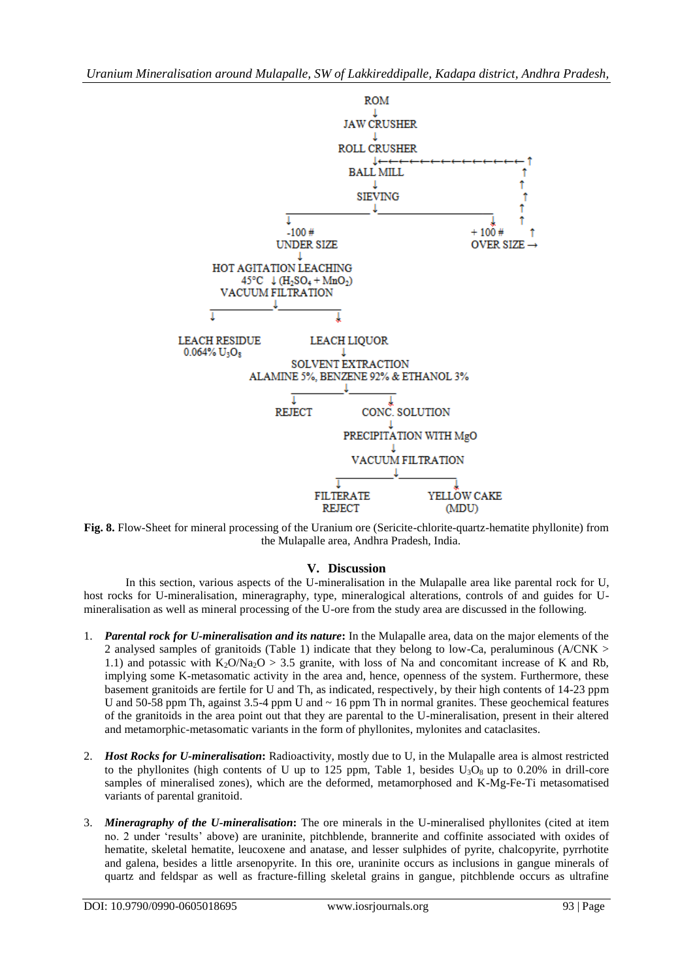

**Fig. 8.** Flow-Sheet for mineral processing of the Uranium ore (Sericite-chlorite-quartz-hematite phyllonite) from the Mulapalle area, Andhra Pradesh, India.

#### **V. Discussion**

In this section, various aspects of the U-mineralisation in the Mulapalle area like parental rock for U, host rocks for U-mineralisation, mineragraphy, type, mineralogical alterations, controls of and guides for Umineralisation as well as mineral processing of the U-ore from the study area are discussed in the following.

- 1. *Parental rock for U-mineralisation and its nature***:** In the Mulapalle area, data on the major elements of the 2 analysed samples of granitoids (Table 1) indicate that they belong to low-Ca, peraluminous (A/CNK > 1.1) and potassic with  $K_2O/Na_2O > 3.5$  granite, with loss of Na and concomitant increase of K and Rb, implying some K-metasomatic activity in the area and, hence, openness of the system. Furthermore, these basement granitoids are fertile for U and Th, as indicated, respectively, by their high contents of 14-23 ppm U and 50-58 ppm Th, against 3.5-4 ppm U and ~ 16 ppm Th in normal granites. These geochemical features of the granitoids in the area point out that they are parental to the U-mineralisation, present in their altered and metamorphic-metasomatic variants in the form of phyllonites, mylonites and cataclasites.
- 2. *Host Rocks for U-mineralisation***:** Radioactivity, mostly due to U, in the Mulapalle area is almost restricted to the phyllonites (high contents of U up to 125 ppm, Table 1, besides  $U_3O_8$  up to 0.20% in drill-core samples of mineralised zones), which are the deformed, metamorphosed and K-Mg-Fe-Ti metasomatised variants of parental granitoid.
- 3. *Mineragraphy of the U-mineralisation***:** The ore minerals in the U-mineralised phyllonites (cited at item no. 2 under "results" above) are uraninite, pitchblende, brannerite and coffinite associated with oxides of hematite, skeletal hematite, leucoxene and anatase, and lesser sulphides of pyrite, chalcopyrite, pyrrhotite and galena, besides a little arsenopyrite. In this ore, uraninite occurs as inclusions in gangue minerals of quartz and feldspar as well as fracture-filling skeletal grains in gangue, pitchblende occurs as ultrafine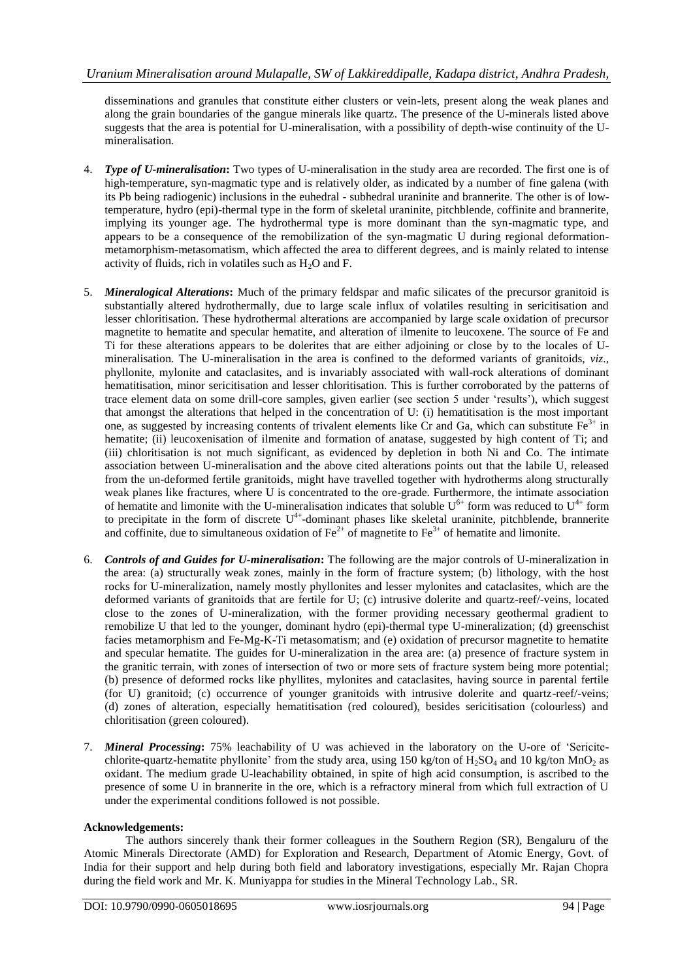disseminations and granules that constitute either clusters or vein-lets, present along the weak planes and along the grain boundaries of the gangue minerals like quartz. The presence of the U-minerals listed above suggests that the area is potential for U-mineralisation, with a possibility of depth-wise continuity of the Umineralisation.

- 4. *Type of U-mineralisation***:** Two types of U-mineralisation in the study area are recorded. The first one is of high-temperature, syn-magmatic type and is relatively older, as indicated by a number of fine galena (with its Pb being radiogenic) inclusions in the euhedral - subhedral uraninite and brannerite. The other is of lowtemperature, hydro (epi)-thermal type in the form of skeletal uraninite, pitchblende, coffinite and brannerite, implying its younger age. The hydrothermal type is more dominant than the syn-magmatic type, and appears to be a consequence of the remobilization of the syn-magmatic U during regional deformationmetamorphism-metasomatism, which affected the area to different degrees, and is mainly related to intense activity of fluids, rich in volatiles such as  $H_2O$  and F.
- 5. *Mineralogical Alterations***:** Much of the primary feldspar and mafic silicates of the precursor granitoid is substantially altered hydrothermally, due to large scale influx of volatiles resulting in sericitisation and lesser chloritisation. These hydrothermal alterations are accompanied by large scale oxidation of precursor magnetite to hematite and specular hematite, and alteration of ilmenite to leucoxene. The source of Fe and Ti for these alterations appears to be dolerites that are either adjoining or close by to the locales of Umineralisation. The U-mineralisation in the area is confined to the deformed variants of granitoids, *viz*., phyllonite, mylonite and cataclasites, and is invariably associated with wall-rock alterations of dominant hematitisation, minor sericitisation and lesser chloritisation. This is further corroborated by the patterns of trace element data on some drill-core samples, given earlier (see section 5 under "results"), which suggest that amongst the alterations that helped in the concentration of U: (i) hematitisation is the most important one, as suggested by increasing contents of trivalent elements like Cr and Ga, which can substitute  $Fe<sup>3+</sup>$  in hematite; (ii) leucoxenisation of ilmenite and formation of anatase, suggested by high content of Ti; and (iii) chloritisation is not much significant, as evidenced by depletion in both Ni and Co. The intimate association between U-mineralisation and the above cited alterations points out that the labile U, released from the un-deformed fertile granitoids, might have travelled together with hydrotherms along structurally weak planes like fractures, where U is concentrated to the ore-grade. Furthermore, the intimate association of hematite and limonite with the U-mineralisation indicates that soluble  $U^{6+}$  form was reduced to  $U^{4+}$  form to precipitate in the form of discrete  $U^{4+}$ -dominant phases like skeletal uraninite, pitchblende, brannerite and coffinite, due to simultaneous oxidation of  $Fe^{2+}$  of magnetite to  $Fe^{3+}$  of hematite and limonite.
- 6. *Controls of and Guides for U-mineralisation***:** The following are the major controls of U-mineralization in the area: (a) structurally weak zones, mainly in the form of fracture system; (b) lithology, with the host rocks for U-mineralization, namely mostly phyllonites and lesser mylonites and cataclasites, which are the deformed variants of granitoids that are fertile for U; (c) intrusive dolerite and quartz-reef/-veins, located close to the zones of U-mineralization, with the former providing necessary geothermal gradient to remobilize U that led to the younger, dominant hydro (epi)-thermal type U-mineralization; (d) greenschist facies metamorphism and Fe-Mg-K-Ti metasomatism; and (e) oxidation of precursor magnetite to hematite and specular hematite. The guides for U-mineralization in the area are: (a) presence of fracture system in the granitic terrain, with zones of intersection of two or more sets of fracture system being more potential; (b) presence of deformed rocks like phyllites, mylonites and cataclasites, having source in parental fertile (for U) granitoid; (c) occurrence of younger granitoids with intrusive dolerite and quartz-reef/-veins; (d) zones of alteration, especially hematitisation (red coloured), besides sericitisation (colourless) and chloritisation (green coloured).
- 7. *Mineral Processing***:** 75% leachability of U was achieved in the laboratory on the U-ore of "Sericitechlorite-quartz-hematite phyllonite' from the study area, using 150 kg/ton of  $H_2SO_4$  and 10 kg/ton MnO<sub>2</sub> as oxidant. The medium grade U-leachability obtained, in spite of high acid consumption, is ascribed to the presence of some U in brannerite in the ore, which is a refractory mineral from which full extraction of U under the experimental conditions followed is not possible.

#### **Acknowledgements:**

The authors sincerely thank their former colleagues in the Southern Region (SR), Bengaluru of the Atomic Minerals Directorate (AMD) for Exploration and Research, Department of Atomic Energy, Govt. of India for their support and help during both field and laboratory investigations, especially Mr. Rajan Chopra during the field work and Mr. K. Muniyappa for studies in the Mineral Technology Lab., SR.